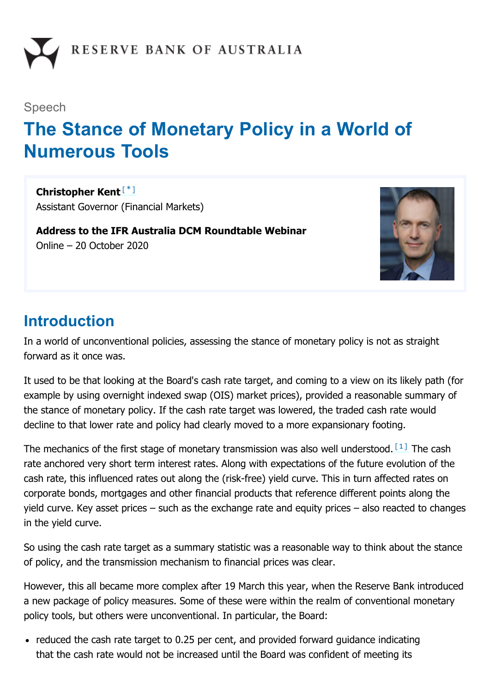

#### Speech

# **The Stance of Monetary Policy in a World of Numerous Tools**

**Christopher Kent** [\*] Assistant Governor (Financial Markets)

**Address to the IFR Australia DCM Roundtable Webinar** Online – 20 October 2020



#### **Introduction**

In a world of unconventional policies, assessing the stance of monetary policy is not as straight forward as it once was.

It used to be that looking at the Board's cash rate target, and coming to a view on its likely path (for example by using overnight indexed swap (OIS) market prices), provided a reasonable summary of the stance of monetary policy. If the cash rate target was lowered, the traded cash rate would decline to that lower rate and policy had clearly moved to a more expansionary footing.

The mechanics of the first stage of monetary transmission was also well understood.  $[1]$  The cash rate anchored very short term interest rates. Along with expectations of the future evolution of the cash rate, this influenced rates out along the (risk-free) yield curve. This in turn affected rates on corporate bonds, mortgages and other financial products that reference different points along the yield curve. Key asset prices – such as the exchange rate and equity prices – also reacted to changes in the yield curve.

So using the cash rate target as a summary statistic was a reasonable way to think about the stance of policy, and the transmission mechanism to financial prices was clear.

However, this all became more complex after 19 March this year, when the Reserve Bank introduced a new package of policy measures. Some of these were within the realm of conventional monetary policy tools, but others were unconventional. In particular, the Board:

• reduced the cash rate target to 0.25 per cent, and provided forward guidance indicating that the cash rate would not be increased until the Board was confident of meeting its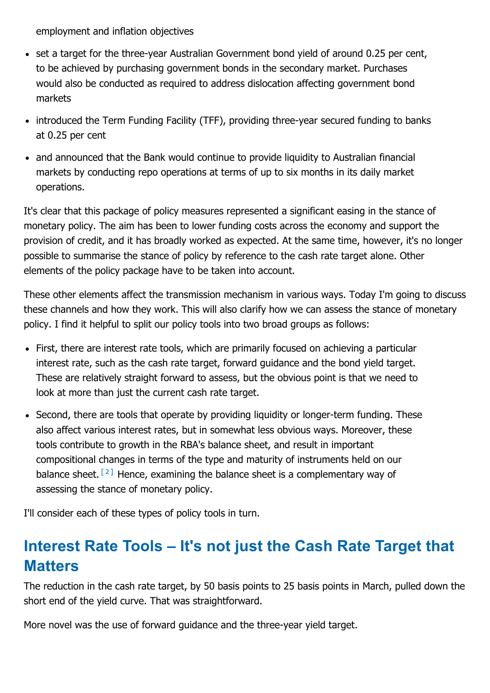employment and inflation objectives

- set a target for the three-year Australian Government bond yield of around 0.25 per cent, to be achieved by purchasing government bonds in the secondary market. Purchases would also be conducted as required to address dislocation affecting government bond markets
- introduced the Term Funding Facility (TFF), providing three-year secured funding to banks at 0.25 per cent
- and announced that the Bank would continue to provide liquidity to Australian financial markets by conducting repo operations at terms of up to six months in its daily market operations.

It's clear that this package of policy measures represented a significant easing in the stance of monetary policy. The aim has been to lower funding costs across the economy and support the provision of credit, and it has broadly worked as expected. At the same time, however, it's no longer possible to summarise the stance of policy by reference to the cash rate target alone. Other elements of the policy package have to be taken into account.

These other elements affect the transmission mechanism in various ways. Today I'm going to discuss these channels and how they work. This will also clarify how we can assess the stance of monetary policy. I find it helpful to split our policy tools into two broad groups as follows:

- First, there are interest rate tools, which are primarily focused on achieving a particular interest rate, such as the cash rate target, forward guidance and the bond yield target. These are relatively straight forward to assess, but the obvious point is that we need to look at more than just the current cash rate target.
- Second, there are tools that operate by providing liquidity or longer-term funding. These also affect various interest rates, but in somewhat less obvious ways. Moreover, these tools contribute to growth in the RBA's balance sheet, and result in important compositional changes in terms of the type and maturity of instruments held on our balance sheet.  $[2]$  Hence, examining the balance sheet is a complementary way of assessing the stance of monetary policy.

I'll consider each of these types of policy tools in turn.

### **Interest Rate Tools – It's not just the Cash Rate Target that Matters**

The reduction in the cash rate target, by 50 basis points to 25 basis points in March, pulled down the short end of the yield curve. That was straightforward.

More novel was the use of forward guidance and the three-year yield target.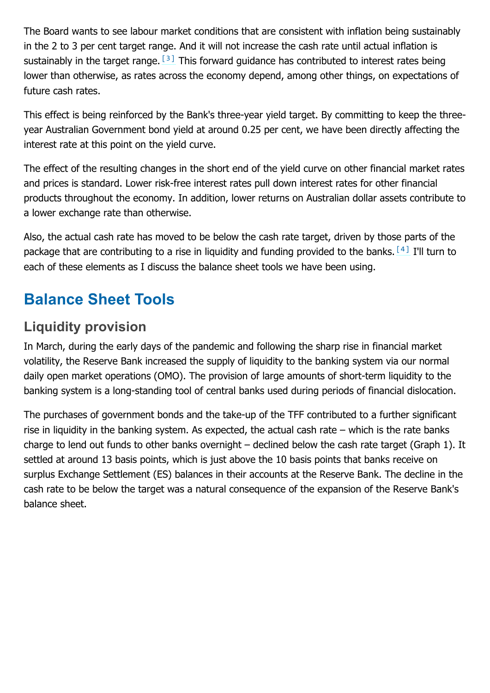The Board wants to see labour market conditions that are consistent with inflation being sustainably in the 2 to 3 per cent target range. And it will not increase the cash rate until actual inflation is sustainably in the target range.  $[3]$  This forward guidance has contributed to interest rates being lower than otherwise, as rates across the economy depend, among other things, on expectations of future cash rates.

This effect is being reinforced by the Bank's three-year yield target. By committing to keep the threeyear Australian Government bond yield at around 0.25 per cent, we have been directly affecting the interest rate at this point on the yield curve.

The effect of the resulting changes in the short end of the yield curve on other financial market rates and prices is standard. Lower risk-free interest rates pull down interest rates for other financial products throughout the economy. In addition, lower returns on Australian dollar assets contribute to a lower exchange rate than otherwise.

Also, the actual cash rate has moved to be below the cash rate target, driven by those parts of the package that are contributing to a rise in liquidity and funding provided to the banks.  $[4]$  I'll turn to each of these elements as I discuss the balance sheet tools we have been using.

## **Balance Sheet Tools**

#### **Liquidity provision**

In March, during the early days of the pandemic and following the sharp rise in financial market volatility, the Reserve Bank increased the supply of liquidity to the banking system via our normal daily open market operations (OMO). The provision of large amounts of short-term liquidity to the banking system is a long-standing tool of central banks used during periods of financial dislocation.

The purchases of government bonds and the take-up of the TFF contributed to a further significant rise in liquidity in the banking system. As expected, the actual cash rate – which is the rate banks charge to lend out funds to other banks overnight – declined below the cash rate target (Graph 1). It settled at around 13 basis points, which is just above the 10 basis points that banks receive on surplus Exchange Settlement (ES) balances in their accounts at the Reserve Bank. The decline in the cash rate to be below the target was a natural consequence of the expansion of the Reserve Bank's balance sheet.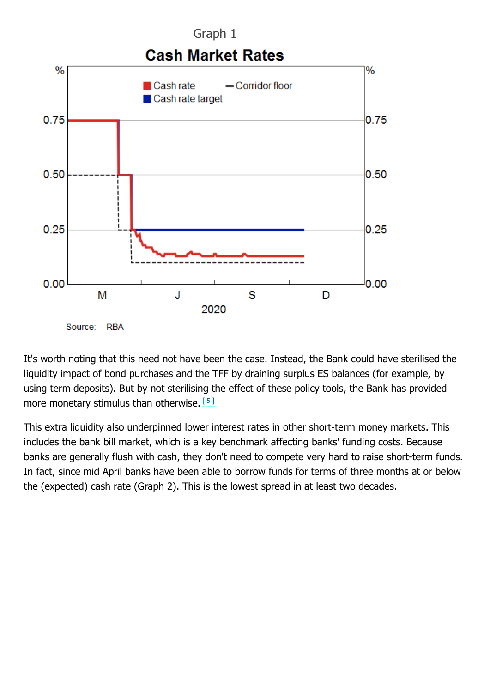

It's worth noting that this need not have been the case. Instead, the Bank could have sterilised the liquidity impact of bond purchases and the TFF by draining surplus ES balances (for example, by using term deposits). But by not sterilising the effect of these policy tools, the Bank has provided more monetary stimulus than otherwise. [5]

This extra liquidity also underpinned lower interest rates in other short-term money markets. This includes the bank bill market, which is a key benchmark affecting banks' funding costs. Because banks are generally flush with cash, they don't need to compete very hard to raise short-term funds. In fact, since mid April banks have been able to borrow funds for terms of three months at or below the (expected) cash rate (Graph 2). This is the lowest spread in at least two decades.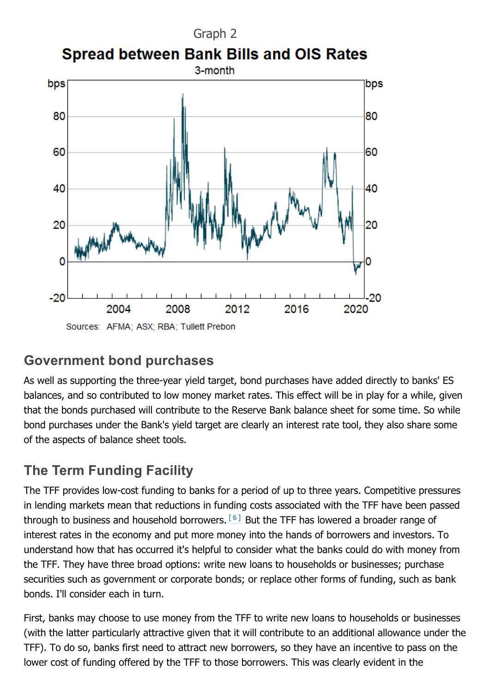

#### **Government bond purchases**

As well as supporting the three-year yield target, bond purchases have added directly to banks' ES balances, and so contributed to low money market rates. This effect will be in play for a while, given that the bonds purchased will contribute to the Reserve Bank balance sheet for some time. So while bond purchases under the Bank's yield target are clearly an interest rate tool, they also share some of the aspects of balance sheet tools.

### **The Term Funding Facility**

The TFF provides low-cost funding to banks for a period of up to three years. Competitive pressures in lending markets mean that reductions in funding costs associated with the TFF have been passed through to business and household borrowers.  $[6]$  But the TFF has lowered a broader range of interest rates in the economy and put more money into the hands of borrowers and investors. To understand how that has occurred it's helpful to consider what the banks could do with money from the TFF. They have three broad options: write new loans to households or businesses; purchase securities such as government or corporate bonds; or replace other forms of funding, such as bank bonds. I'll consider each in turn.

First, banks may choose to use money from the TFF to write new loans to households or businesses (with the latter particularly attractive given that it will contribute to an additional allowance under the TFF). To do so, banks first need to attract new borrowers, so they have an incentive to pass on the lower cost of funding offered by the TFF to those borrowers. This was clearly evident in the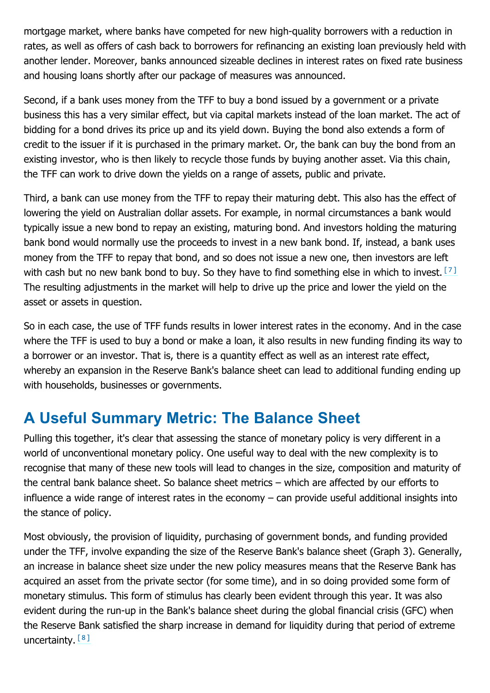mortgage market, where banks have competed for new high-quality borrowers with a reduction in rates, as well as offers of cash back to borrowers for refinancing an existing loan previously held with another lender. Moreover, banks announced sizeable declines in interest rates on fixed rate business and housing loans shortly after our package of measures was announced.

Second, if a bank uses money from the TFF to buy a bond issued by a government or a private business this has a very similar effect, but via capital markets instead of the loan market. The act of bidding for a bond drives its price up and its yield down. Buying the bond also extends a form of credit to the issuer if it is purchased in the primary market. Or, the bank can buy the bond from an existing investor, who is then likely to recycle those funds by buying another asset. Via this chain, the TFF can work to drive down the yields on a range of assets, public and private.

Third, a bank can use money from the TFF to repay their maturing debt. This also has the effect of lowering the yield on Australian dollar assets. For example, in normal circumstances a bank would typically issue a new bond to repay an existing, maturing bond. And investors holding the maturing bank bond would normally use the proceeds to invest in a new bank bond. If, instead, a bank uses money from the TFF to repay that bond, and so does not issue a new one, then investors are left with cash but no new bank bond to buy. So they have to find something else in which to invest.  $[7]$ The resulting adjustments in the market will help to drive up the price and lower the yield on the asset or assets in question.

So in each case, the use of TFF funds results in lower interest rates in the economy. And in the case where the TFF is used to buy a bond or make a loan, it also results in new funding finding its way to a borrower or an investor. That is, there is a quantity effect as well as an interest rate effect, whereby an expansion in the Reserve Bank's balance sheet can lead to additional funding ending up with households, businesses or governments.

### **A Useful Summary Metric: The Balance Sheet**

Pulling this together, it's clear that assessing the stance of monetary policy is very different in a world of unconventional monetary policy. One useful way to deal with the new complexity is to recognise that many of these new tools will lead to changes in the size, composition and maturity of the central bank balance sheet. So balance sheet metrics – which are affected by our efforts to influence a wide range of interest rates in the economy – can provide useful additional insights into the stance of policy.

Most obviously, the provision of liquidity, purchasing of government bonds, and funding provided under the TFF, involve expanding the size of the Reserve Bank's balance sheet (Graph 3). Generally, an increase in balance sheet size under the new policy measures means that the Reserve Bank has acquired an asset from the private sector (for some time), and in so doing provided some form of monetary stimulus. This form of stimulus has clearly been evident through this year. It was also evident during the run-up in the Bank's balance sheet during the global financial crisis (GFC) when the Reserve Bank satisfied the sharp increase in demand for liquidity during that period of extreme uncertainty.<sup>[8]</sup>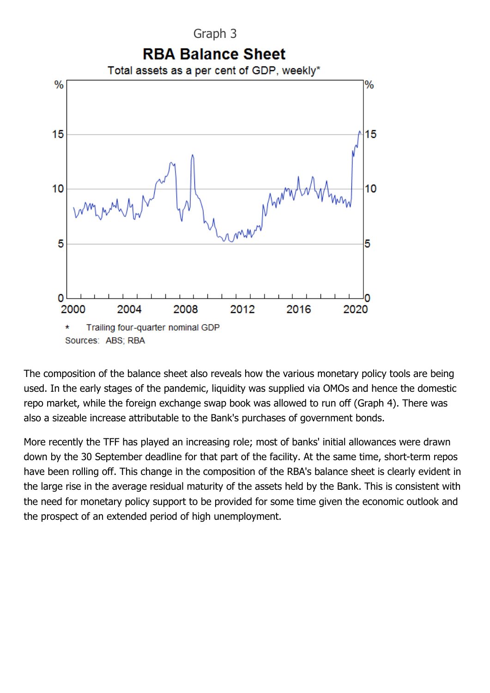

The composition of the balance sheet also reveals how the various monetary policy tools are being used. In the early stages of the pandemic, liquidity was supplied via OMOs and hence the domestic repo market, while the foreign exchange swap book was allowed to run off (Graph 4). There was also a sizeable increase attributable to the Bank's purchases of government bonds.

More recently the TFF has played an increasing role; most of banks' initial allowances were drawn down by the 30 September deadline for that part of the facility. At the same time, short-term repos have been rolling off. This change in the composition of the RBA's balance sheet is clearly evident in the large rise in the average residual maturity of the assets held by the Bank. This is consistent with the need for monetary policy support to be provided for some time given the economic outlook and the prospect of an extended period of high unemployment.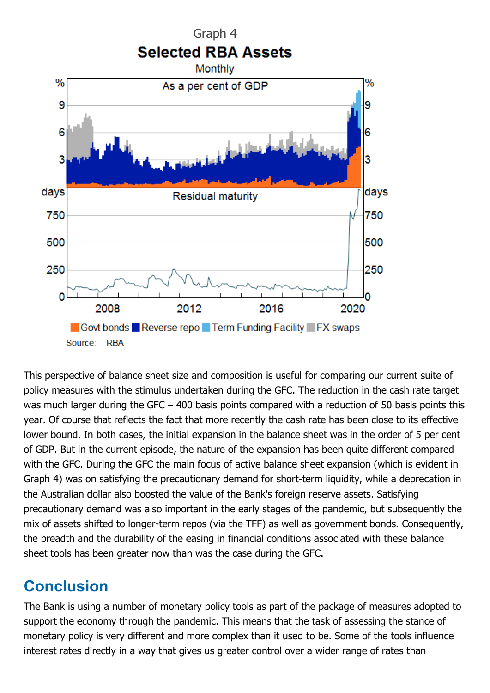

This perspective of balance sheet size and composition is useful for comparing our current suite of policy measures with the stimulus undertaken during the GFC. The reduction in the cash rate target was much larger during the GFC – 400 basis points compared with a reduction of 50 basis points this year. Of course that reflects the fact that more recently the cash rate has been close to its effective lower bound. In both cases, the initial expansion in the balance sheet was in the order of 5 per cent of GDP. But in the current episode, the nature of the expansion has been quite different compared with the GFC. During the GFC the main focus of active balance sheet expansion (which is evident in Graph 4) was on satisfying the precautionary demand for short-term liquidity, while a deprecation in the Australian dollar also boosted the value of the Bank's foreign reserve assets. Satisfying precautionary demand was also important in the early stages of the pandemic, but subsequently the mix of assets shifted to longer-term repos (via the TFF) as well as government bonds. Consequently, the breadth and the durability of the easing in financial conditions associated with these balance sheet tools has been greater now than was the case during the GFC.

### **Conclusion**

The Bank is using a number of monetary policy tools as part of the package of measures adopted to support the economy through the pandemic. This means that the task of assessing the stance of monetary policy is very different and more complex than it used to be. Some of the tools influence interest rates directly in a way that gives us greater control over a wider range of rates than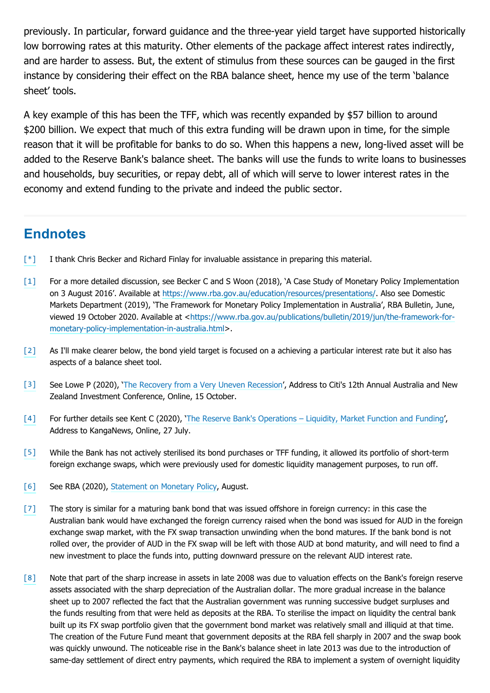previously. In particular, forward guidance and the three-year yield target have supported historically low borrowing rates at this maturity. Other elements of the package affect interest rates indirectly, and are harder to assess. But, the extent of stimulus from these sources can be gauged in the first instance by considering their effect on the RBA balance sheet, hence my use of the term 'balance sheet' tools.

A key example of this has been the TFF, which was recently expanded by \$57 billion to around \$200 billion. We expect that much of this extra funding will be drawn upon in time, for the simple reason that it will be profitable for banks to do so. When this happens a new, long-lived asset will be added to the Reserve Bank's balance sheet. The banks will use the funds to write loans to businesses and households, buy securities, or repay debt, all of which will serve to lower interest rates in the economy and extend funding to the private and indeed the public sector.

#### **Endnotes**

- [\*] I thank Chris Becker and Richard Finlay for invaluable assistance in preparing this material.
- For a more detailed discussion, see Becker C and S Woon (2018), 'A Case Study of Monetary Policy Implementation on 3 August 2016'. Available at https://www.rba.gov.au/education/resources/presentations/. Also see Domestic Markets Department (2019), 'The Framework for Monetary Policy Implementation in Australia', RBA Bulletin, June, viewed 19 October 2020. Available at <https://www.rba.gov.au/publications/bulletin/2019/jun/the-framework-formonetary-policy-implementation-in-australia.html>. [1]
- As I'll make clearer below, the bond yield target is focused on a achieving a particular interest rate but it also has aspects of a balance sheet tool. [2]
- See Lowe P (2020), 'The Recovery from a Very Uneven Recession', Address to Citi's 12th Annual Australia and New Zealand Investment Conference, Online, 15 October. [3]
- For further details see Kent C (2020), 'The Reserve Bank's Operations Liquidity, Market Function and Funding', Address to KangaNews, Online, 27 July. [4]
- While the Bank has not actively sterilised its bond purchases or TFF funding, it allowed its portfolio of short-term foreign exchange swaps, which were previously used for domestic liquidity management purposes, to run off. [5]
- [6] See RBA (2020), Statement on Monetary Policy, August.
- The story is similar for a maturing bank bond that was issued offshore in foreign currency: in this case the Australian bank would have exchanged the foreign currency raised when the bond was issued for AUD in the foreign exchange swap market, with the FX swap transaction unwinding when the bond matures. If the bank bond is not rolled over, the provider of AUD in the FX swap will be left with those AUD at bond maturity, and will need to find a new investment to place the funds into, putting downward pressure on the relevant AUD interest rate. [7]
- Note that part of the sharp increase in assets in late 2008 was due to valuation effects on the Bank's foreign reserve assets associated with the sharp depreciation of the Australian dollar. The more gradual increase in the balance sheet up to 2007 reflected the fact that the Australian government was running successive budget surpluses and the funds resulting from that were held as deposits at the RBA. To sterilise the impact on liquidity the central bank built up its FX swap portfolio given that the government bond market was relatively small and illiquid at that time. The creation of the Future Fund meant that government deposits at the RBA fell sharply in 2007 and the swap book was quickly unwound. The noticeable rise in the Bank's balance sheet in late 2013 was due to the introduction of same-day settlement of direct entry payments, which required the RBA to implement a system of overnight liquidity [8]